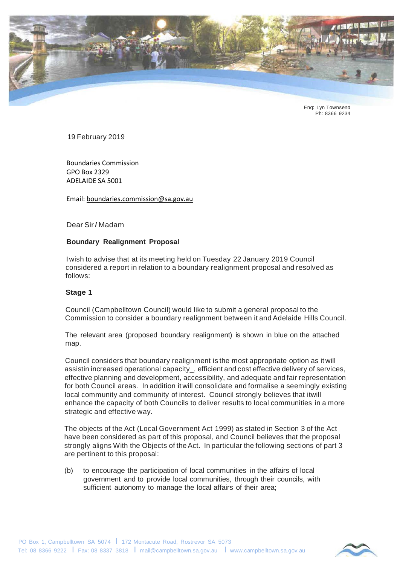

Enq: Lyn Townsend Ph: 8366 9234

19 February 2019

Boundaries Commission GPO Box 2329 ADELAIDE SA 5001

Email: [boundaries.commission@sa.gov.au](mailto:boundaries.commission@sa.gov.au)

Dear Sir*I* Madam

## **Boundary Realignment Proposal**

Iwish to advise that at its meeting held on Tuesday 22 January 2019 Council considered a report in relation to a boundary realignment proposal and resolved as follows:

## **Stage 1**

Council (Campbelltown Council) would like to submit a general proposal to the Commission to consider a boundary realignment between it and Adelaide Hills Council.

The relevant area (proposed boundary realignment) is shown in blue on the attached map.

Council considers that boundary realignment is the most appropriate option as it will assistin increased operational capacity\_, efficient and cost effective delivery of services, effective planning and development, accessibility, and adequate and fair representation for both Council areas. In addition it will consolidate and formalise a seemingly existing local community and community of interest. Council strongly believes that itwill enhance the capacity of both Councils to deliver results to local communities in a more strategic and effective way.

The objects of the Act (Local Government Act 1999) as stated in Section 3 of the Act have been considered as part of this proposal, and Council believes that the proposal strongly aligns With the Objects of the Act. In particular the following sections of part 3 are pertinent to this proposal:

(b) to encourage the participation of local communities in the affairs of local government and to provide local communities, through their councils, with sufficient autonomy to manage the local affairs of their area;

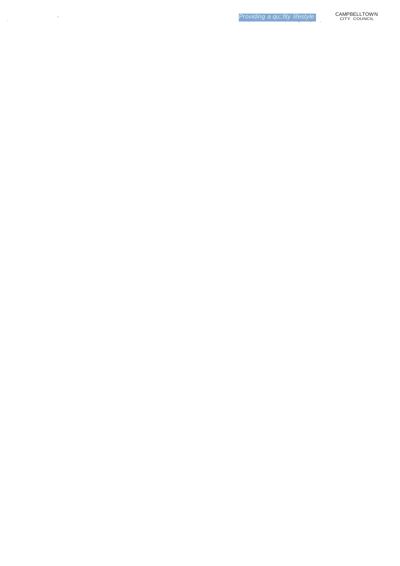$\omega$ 

Providing a qu;;fity lifestyle

CAMPBELLTOWN<br>CITY COUNCIL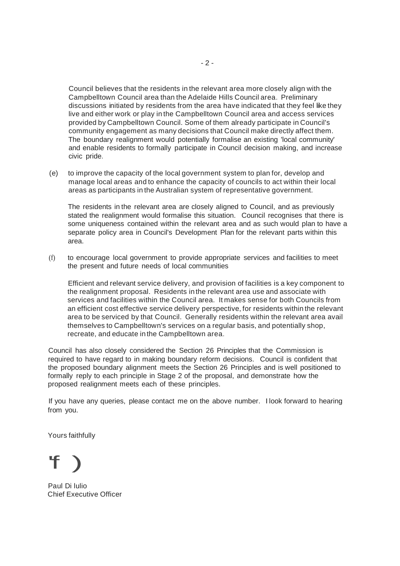Council believes that the residents in the relevant area more closely align with the Campbelltown Council area than the Adelaide Hills Council area. Preliminary discussions initiated by residents from the area have indicated that they feel like they live and either work or play in the Campbelltown Council area and access services provided by Campbelltown Council. Some of them already participate in Council's community engagement as many decisions that Council make directly affect them. The boundary realignment would potentially formalise an existing 'local community' and enable residents to formally participate in Council decision making, and increase civic pride.

(e) to improve the capacity of the local government system to plan for, develop and manage local areas and to enhance the capacity of councils to act within their local areas as participants in the Australian system of representative government.

The residents in the relevant area are closely aligned to Council, and as previously stated the realignment would formalise this situation. Council recognises that there is some uniqueness contained within the relevant area and as such would plan to have a separate policy area in Council's Development Plan for the relevant parts within this area.

(f) to encourage local government to provide appropriate services and facilities to meet the present and future needs of local communities

Efficient and relevant service delivery, and provision of facilities is a key component to the realignment proposal. Residents in the relevant area use and associate with services and facilities within the Council area. It makes sense for both Councils from an efficient cost effective service delivery perspective, for residents within the relevant area to be serviced by that Council. Generally residents within the relevant area avail themselves to Campbelltown's services on a regular basis, and potentially shop, recreate, and educate in the Campbelltown area.

Council has also closely considered the Section 26 Principles that the Commission is required to have regard to in making boundary reform decisions. Council is confident that the proposed boundary alignment meets the Section 26 Principles and is well positioned to formally reply to each principle in Stage 2 of the proposal, and demonstrate how the proposed realignment meets each of these principles.

If you have any queries, please contact me on the above number. I look forward to hearing from you.

Yours faithfully

'f )

Paul Di lulio Chief Executive Officer